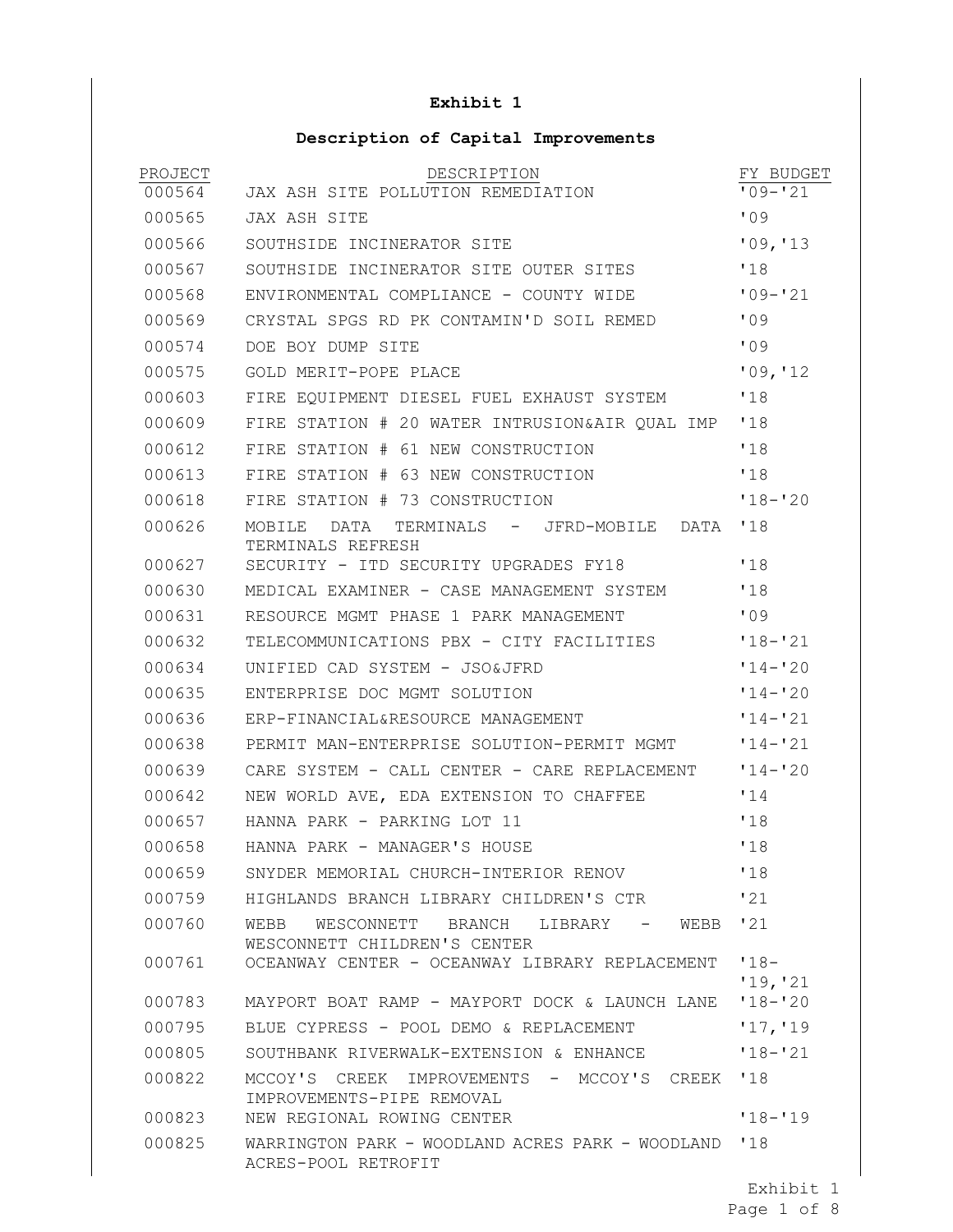## **Exhibit 1**

## **Description of Capital Improvements**

| PROJECT<br>000564 | DESCRIPTION<br>JAX ASH SITE POLLUTION REMEDIATION                               | FY BUDGET<br>$'09 - '21$ |
|-------------------|---------------------------------------------------------------------------------|--------------------------|
| 000565            | JAX ASH SITE                                                                    | 109                      |
| 000566            | SOUTHSIDE INCINERATOR SITE                                                      | '09, '13                 |
| 000567            | SOUTHSIDE INCINERATOR SITE OUTER SITES                                          | '18                      |
| 000568            | ENVIRONMENTAL COMPLIANCE - COUNTY WIDE                                          | $109 - 21$               |
| 000569            | CRYSTAL SPGS RD PK CONTAMIN'D SOIL REMED                                        | 109                      |
| 000574            | DOE BOY DUMP SITE                                                               | '09                      |
| 000575            | GOLD MERIT-POPE PLACE                                                           | '09, '12                 |
| 000603            | FIRE EOUIPMENT DIESEL FUEL EXHAUST SYSTEM                                       | '18                      |
| 000609            | FIRE STATION # 20 WATER INTRUSION&AIR QUAL IMP                                  | '18                      |
| 000612            | FIRE STATION # 61 NEW CONSTRUCTION                                              | '18                      |
| 000613            | FIRE STATION # 63 NEW CONSTRUCTION                                              | '18                      |
| 000618            | FIRE STATION # 73 CONSTRUCTION                                                  | $'18 - '20$              |
| 000626            | MOBILE<br>DATA<br>TERMINALS - JFRD-MOBILE<br>DATA<br>TERMINALS REFRESH          | '18                      |
| 000627            | SECURITY - ITD SECURITY UPGRADES FY18                                           | '18                      |
| 000630            | MEDICAL EXAMINER - CASE MANAGEMENT SYSTEM                                       | '18                      |
| 000631            | RESOURCE MGMT PHASE 1 PARK MANAGEMENT                                           | '09                      |
| 000632            | TELECOMMUNICATIONS PBX - CITY FACILITIES                                        | $'18 - '21$              |
| 000634            | UNIFIED CAD SYSTEM - JSO&JFRD                                                   | $'14 - '20$              |
| 000635            | ENTERPRISE DOC MGMT SOLUTION                                                    | $'14 - '20$              |
| 000636            | ERP-FINANCIAL&RESOURCE MANAGEMENT                                               | $114 - 21$               |
| 000638            | PERMIT MAN-ENTERPRISE SOLUTION-PERMIT MGMT                                      | $'14 - '21$              |
| 000639            | CARE SYSTEM - CALL CENTER - CARE REPLACEMENT                                    | $'14 - '20$              |
| 000642            | NEW WORLD AVE, EDA EXTENSION TO CHAFFEE                                         | 114                      |
| 000657            | HANNA PARK - PARKING LOT 11                                                     | '18                      |
| 000658            | HANNA PARK - MANAGER'S HOUSE                                                    | '18                      |
| 000659            | SNYDER MEMORIAL CHURCH-INTERIOR RENOV                                           | '18                      |
| 000759            | HIGHLANDS BRANCH LIBRARY CHILDREN'S CTR                                         | '21                      |
| 000760            | WEBB '21<br>WEBB<br>WESCONNETT BRANCH LIBRARY -<br>WESCONNETT CHILDREN'S CENTER |                          |
| 000761            | OCEANWAY CENTER - OCEANWAY LIBRARY REPLACEMENT                                  | $'18-$                   |
| 000783            | MAYPORT BOAT RAMP - MAYPORT DOCK & LAUNCH LANE                                  | '19, '21<br>$'18 - '20$  |
| 000795            | BLUE CYPRESS - POOL DEMO & REPLACEMENT                                          | '17, '19                 |
| 000805            | SOUTHBANK RIVERWALK-EXTENSION & ENHANCE                                         | $'18 - '21$              |
| 000822            | IMPROVEMENTS - MCCOY'S CREEK '18<br>MCCOY'S CREEK                               |                          |
| 000823            | IMPROVEMENTS-PIPE REMOVAL<br>NEW REGIONAL ROWING CENTER                         | $118 - 119$              |
| 000825            | WARRINGTON PARK - WOODLAND ACRES PARK - WOODLAND '18<br>ACRES-POOL RETROFIT     |                          |

Exhibit 1

Page 1 of 8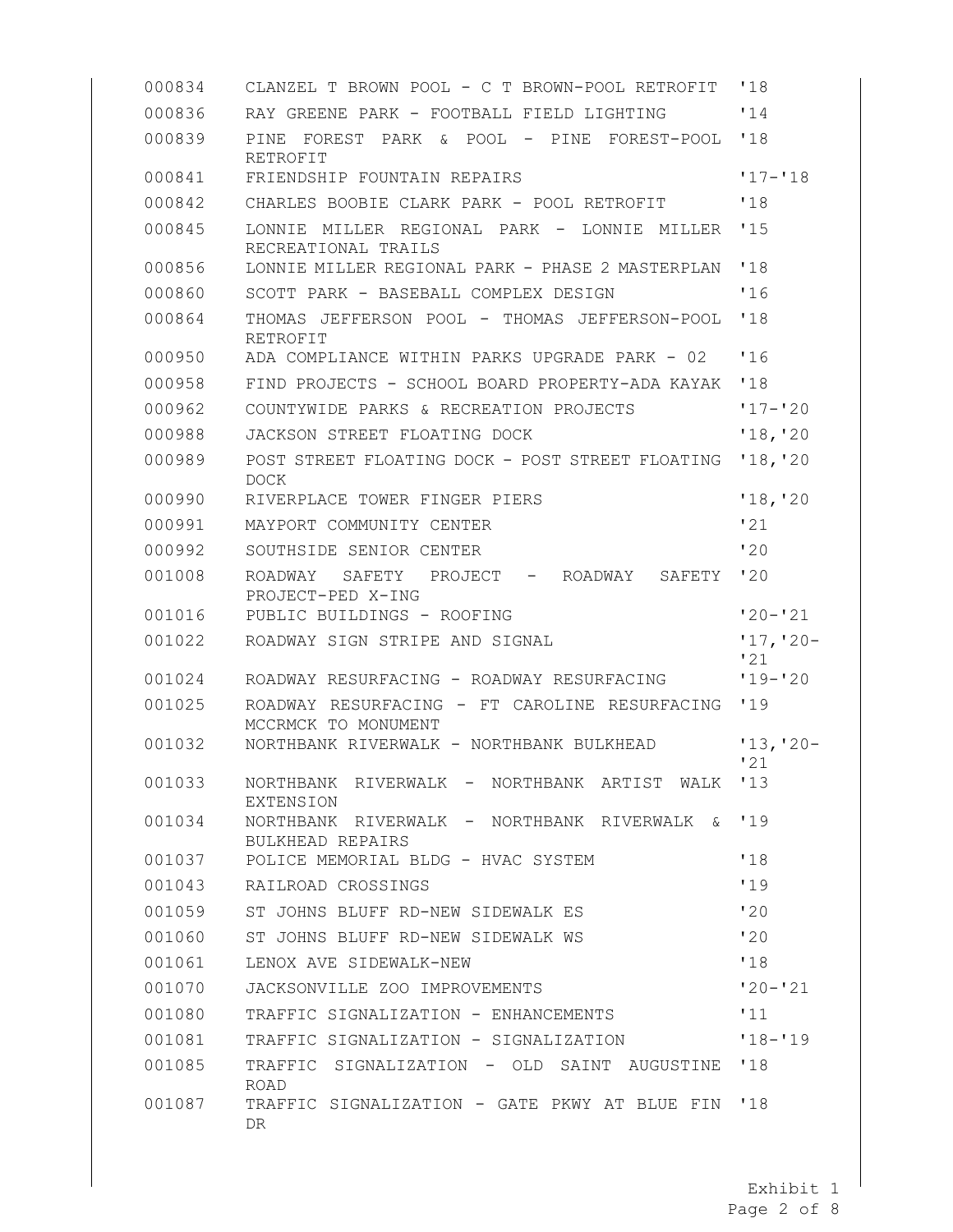| 000834 | CLANZEL T BROWN POOL - C T BROWN-POOL RETROFIT                         | '18                |
|--------|------------------------------------------------------------------------|--------------------|
| 000836 | RAY GREENE PARK - FOOTBALL FIELD LIGHTING                              | '14                |
| 000839 | PINE<br>FOREST<br>PARK & POOL – PINE FOREST-POOL<br>RETROFIT           | '18                |
| 000841 | FRIENDSHIP FOUNTAIN REPAIRS                                            | $117 - 118$        |
| 000842 | CHARLES BOOBIE CLARK PARK - POOL RETROFIT                              | '18                |
| 000845 | LONNIE MILLER REGIONAL PARK - LONNIE MILLER<br>RECREATIONAL TRAILS     | '15                |
| 000856 | LONNIE MILLER REGIONAL PARK - PHASE 2 MASTERPLAN                       | '18                |
| 000860 | SCOTT PARK - BASEBALL COMPLEX DESIGN                                   | '16                |
| 000864 | THOMAS JEFFERSON POOL - THOMAS JEFFERSON-POOL<br>RETROFIT              | '18                |
| 000950 | ADA COMPLIANCE WITHIN PARKS UPGRADE PARK - 02                          | 16                 |
| 000958 | FIND PROJECTS - SCHOOL BOARD PROPERTY-ADA KAYAK                        | '18                |
| 000962 | COUNTYWIDE PARKS & RECREATION PROJECTS                                 | $17 - 20$          |
| 000988 | JACKSON STREET FLOATING DOCK                                           | '18, '20           |
| 000989 | POST STREET FLOATING DOCK - POST STREET FLOATING<br><b>DOCK</b>        | '18, '20           |
| 000990 | RIVERPLACE TOWER FINGER PIERS                                          | '18, '20           |
| 000991 | MAYPORT COMMUNITY CENTER                                               | '21                |
| 000992 | SOUTHSIDE SENIOR CENTER                                                | '20                |
| 001008 | ROADWAY<br>SAFETY<br>PROJECT - ROADWAY<br>SAFETY<br>PROJECT-PED X-ING  | '20                |
| 001016 | PUBLIC BUILDINGS - ROOFING                                             | $'20 - '21$        |
| 001022 | ROADWAY SIGN STRIPE AND SIGNAL                                         | $'17, '20-$<br>'21 |
| 001024 | ROADWAY RESURFACING - ROADWAY RESURFACING                              | $'19 - '20$        |
| 001025 | ROADWAY RESURFACING - FT CAROLINE RESURFACING<br>MCCRMCK TO MONUMENT   | '19                |
| 001032 | NORTHBANK RIVERWALK - NORTHBANK BULKHEAD                               | $'13, '20-$<br>'21 |
| 001033 | NORTHBANK<br>RIVERWALK - NORTHBANK ARTIST<br>WALK<br><b>EXTENSION</b>  | 13                 |
| 001034 | NORTHBANK RIVERWALK - NORTHBANK RIVERWALK &<br><b>BULKHEAD REPAIRS</b> | 119                |
| 001037 | POLICE MEMORIAL BLDG - HVAC SYSTEM                                     | '18                |
| 001043 | RAILROAD CROSSINGS                                                     | '19                |
| 001059 | ST JOHNS BLUFF RD-NEW SIDEWALK ES                                      | 120                |
| 001060 | ST JOHNS BLUFF RD-NEW SIDEWALK WS                                      | 120                |
| 001061 | LENOX AVE SIDEWALK-NEW                                                 | '18                |
| 001070 | JACKSONVILLE ZOO IMPROVEMENTS                                          | $120 - 121$        |
| 001080 | TRAFFIC SIGNALIZATION - ENHANCEMENTS                                   | '11                |
| 001081 | TRAFFIC SIGNALIZATION - SIGNALIZATION                                  | $118 - 19$         |
| 001085 | TRAFFIC SIGNALIZATION - OLD SAINT AUGUSTINE<br><b>ROAD</b>             | '18                |
| 001087 | TRAFFIC SIGNALIZATION - GATE PKWY AT BLUE FIN<br>DR.                   | '18                |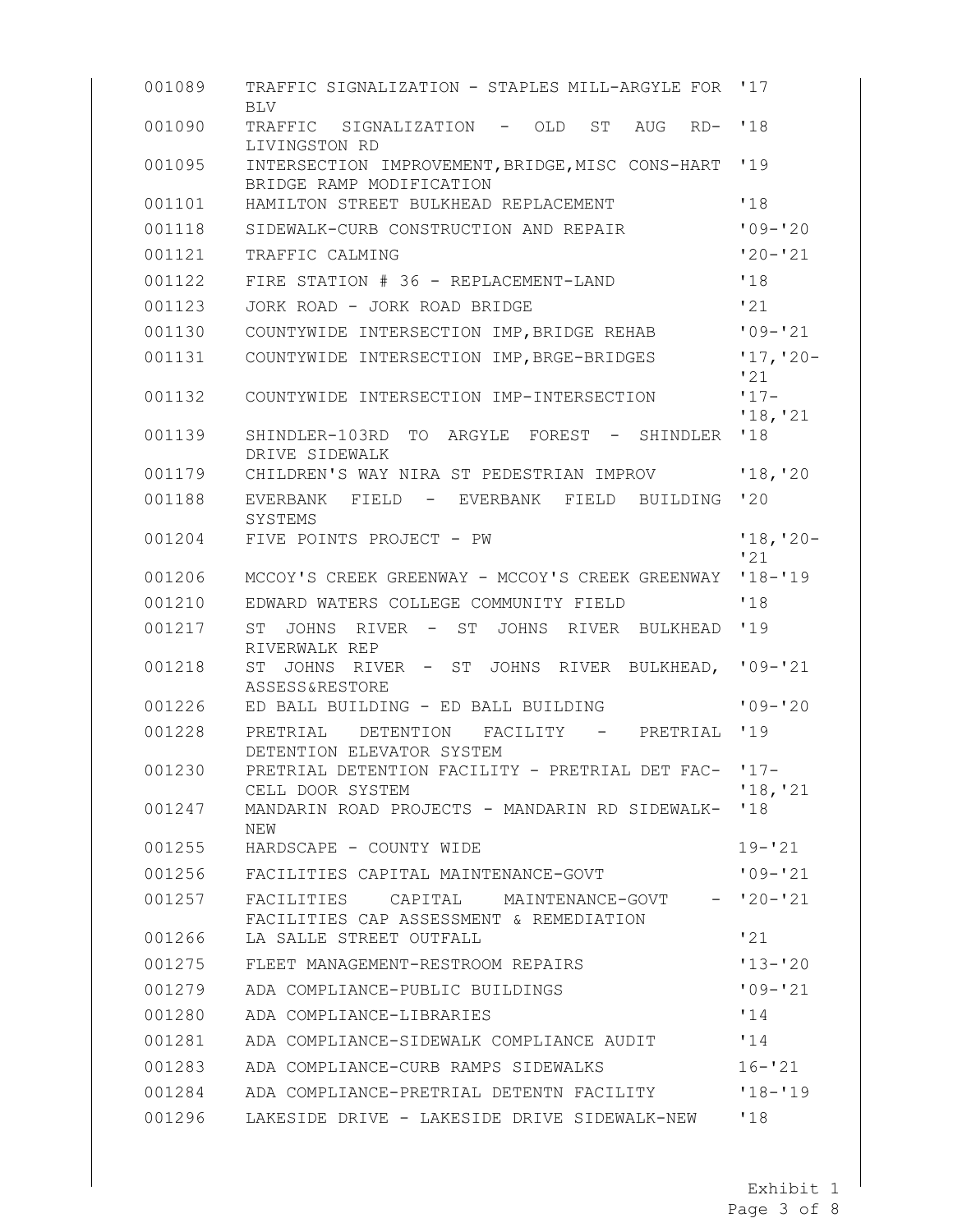| 001089 | TRAFFIC SIGNALIZATION - STAPLES MILL-ARGYLE FOR '17<br><b>BLV</b>                 |                    |
|--------|-----------------------------------------------------------------------------------|--------------------|
| 001090 | TRAFFIC SIGNALIZATION - OLD ST AUG<br>RD- '18<br>LIVINGSTON RD                    |                    |
| 001095 | INTERSECTION IMPROVEMENT, BRIDGE, MISC CONS-HART '19<br>BRIDGE RAMP MODIFICATION  |                    |
| 001101 | HAMILTON STREET BULKHEAD REPLACEMENT                                              | '18                |
| 001118 | SIDEWALK-CURB CONSTRUCTION AND REPAIR                                             | $'09 - '20$        |
| 001121 | TRAFFIC CALMING                                                                   | $'20 - '21$        |
| 001122 | FIRE STATION # 36 - REPLACEMENT-LAND                                              | '18                |
| 001123 | JORK ROAD - JORK ROAD BRIDGE                                                      | '21                |
| 001130 | COUNTYWIDE INTERSECTION IMP, BRIDGE REHAB                                         | $'09 - '21$        |
| 001131 | COUNTYWIDE INTERSECTION IMP, BRGE-BRIDGES                                         | $'17, '20-$<br>'21 |
| 001132 | COUNTYWIDE INTERSECTION IMP-INTERSECTION                                          | $17 -$<br>'18, '21 |
| 001139 | SHINDLER-103RD<br><b>TO</b><br>ARGYLE FOREST - SHINDLER<br>DRIVE SIDEWALK         | '18                |
| 001179 | CHILDREN'S WAY NIRA ST PEDESTRIAN IMPROV                                          | '18, '20           |
| 001188 | EVERBANK FIELD - EVERBANK FIELD<br>BUILDING<br>SYSTEMS                            | '20                |
| 001204 | FIVE POINTS PROJECT - PW                                                          | $'18, '20-$<br>'21 |
| 001206 | MCCOY'S CREEK GREENWAY - MCCOY'S CREEK GREENWAY                                   | $'18 - '19$        |
| 001210 | EDWARD WATERS COLLEGE COMMUNITY FIELD                                             | '18                |
| 001217 | <b>ST</b><br>JOHNS<br>RIVER - ST JOHNS RIVER BULKHEAD<br>RIVERWALK REP            | '19                |
| 001218 | JOHNS RIVER - ST JOHNS RIVER BULKHEAD,<br>ST<br><b>ASSESS&amp;RESTORE</b>         | $'09 - '21$        |
| 001226 | ED BALL BUILDING - ED BALL BUILDING                                               | $'09 - '20$        |
| 001228 | PRETRIAL DETENTION FACILITY - PRETRIAL<br>DETENTION ELEVATOR SYSTEM               | 119                |
| 001230 | PRETRIAL DETENTION FACILITY - PRETRIAL DET FAC- '17-                              |                    |
| 001247 | CELL DOOR SYSTEM<br>MANDARIN ROAD PROJECTS - MANDARIN RD SIDEWALK- '18            | '18, '21           |
|        | NEW                                                                               |                    |
| 001255 | HARDSCAPE - COUNTY WIDE                                                           | $19 - 21$          |
| 001256 | FACILITIES CAPITAL MAINTENANCE-GOVT                                               | $'09 - '21$        |
| 001257 | FACILITIES<br>CAPITAL MAINTENANCE-GOVT<br>FACILITIES CAP ASSESSMENT & REMEDIATION | $-120-121$         |
| 001266 | LA SALLE STREET OUTFALL                                                           | '21                |
| 001275 | FLEET MANAGEMENT-RESTROOM REPAIRS                                                 | $'13 - '20$        |
| 001279 | ADA COMPLIANCE-PUBLIC BUILDINGS                                                   | $109 - 21$         |
| 001280 | ADA COMPLIANCE-LIBRARIES                                                          | '14                |
| 001281 | ADA COMPLIANCE-SIDEWALK COMPLIANCE AUDIT                                          | '14                |
| 001283 | ADA COMPLIANCE-CURB RAMPS SIDEWALKS                                               | $16 - 21$          |
| 001284 | ADA COMPLIANCE-PRETRIAL DETENTN FACILITY                                          | $'18 - '19$        |
| 001296 | LAKESIDE DRIVE - LAKESIDE DRIVE SIDEWALK-NEW                                      | '18                |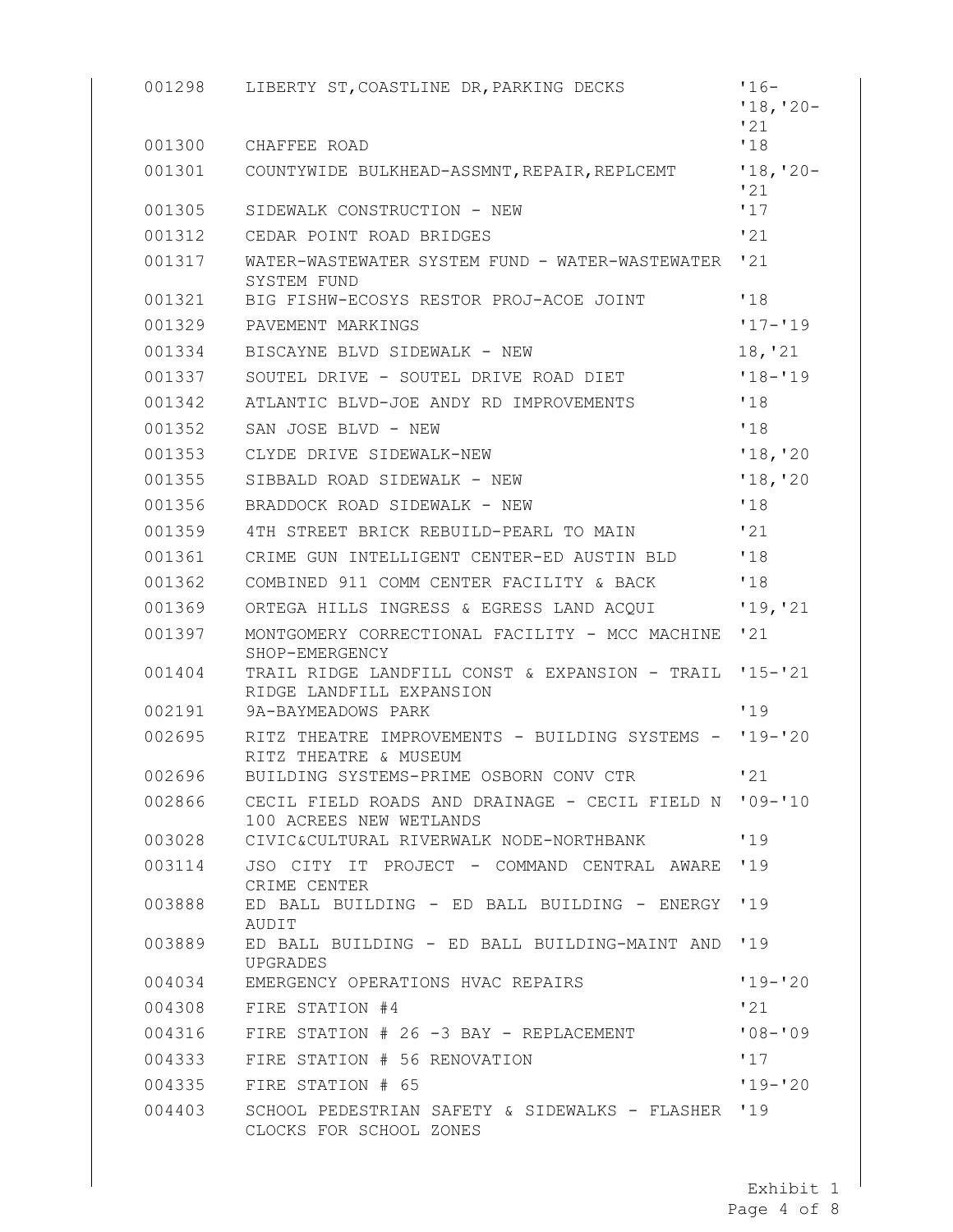| 001298<br>001300 | LIBERTY ST, COASTLINE DR, PARKING DECKS<br>CHAFFEE ROAD                            | $'16-$<br>$'18, '20-$<br>'21<br>'18 |
|------------------|------------------------------------------------------------------------------------|-------------------------------------|
| 001301           | COUNTYWIDE BULKHEAD-ASSMNT, REPAIR, REPLCEMT '18, '20-                             |                                     |
| 001305           | SIDEWALK CONSTRUCTION - NEW                                                        | 121<br>'17                          |
| 001312           | CEDAR POINT ROAD BRIDGES                                                           | '21                                 |
| 001317           | WATER-WASTEWATER SYSTEM FUND - WATER-WASTEWATER '21                                |                                     |
| 001321           | SYSTEM FUND<br>BIG FISHW-ECOSYS RESTOR PROJ-ACOE JOINT                             | '18                                 |
| 001329           | PAVEMENT MARKINGS                                                                  | $'17 - '19$                         |
| 001334           | BISCAYNE BLVD SIDEWALK - NEW                                                       | 18, '21                             |
| 001337           | SOUTEL DRIVE - SOUTEL DRIVE ROAD DIET                                              | $'18 - '19$                         |
| 001342           | ATLANTIC BLVD-JOE ANDY RD IMPROVEMENTS                                             | '18                                 |
| 001352           | SAN JOSE BLVD - NEW                                                                | '18                                 |
| 001353           | CLYDE DRIVE SIDEWALK-NEW                                                           | '18, '20                            |
| 001355           | SIBBALD ROAD SIDEWALK - NEW                                                        | '18, '20                            |
| 001356           | BRADDOCK ROAD SIDEWALK - NEW                                                       | '18                                 |
| 001359           | 4TH STREET BRICK REBUILD-PEARL TO MAIN                                             | '21                                 |
| 001361           | CRIME GUN INTELLIGENT CENTER-ED AUSTIN BLD                                         | '18                                 |
| 001362           | COMBINED 911 COMM CENTER FACILITY & BACK                                           | '18                                 |
| 001369           | ORTEGA HILLS INGRESS & EGRESS LAND ACQUI                                           | '19, '21                            |
| 001397           | MONTGOMERY CORRECTIONAL FACILITY - MCC MACHINE '21                                 |                                     |
|                  | SHOP-EMERGENCY                                                                     |                                     |
| 001404           | TRAIL RIDGE LANDFILL CONST & EXPANSION - TRAIL '15-'21<br>RIDGE LANDFILL EXPANSION |                                     |
| 002191           | 9A-BAYMEADOWS PARK                                                                 | '19                                 |
| 002695           | RITZ THEATRE IMPROVEMENTS - BUILDING SYSTEMS - '19-'20<br>RITZ THEATRE & MUSEUM    |                                     |
| 002696           | BUILDING SYSTEMS-PRIME OSBORN CONV CTR                                             | '21                                 |
| 002866           | CECIL FIELD ROADS AND DRAINAGE - CECIL FIELD N '09-'10<br>100 ACREES NEW WETLANDS  |                                     |
| 003028           | CIVIC&CULTURAL RIVERWALK NODE-NORTHBANK                                            | '19                                 |
| 003114           | JSO CITY IT PROJECT - COMMAND CENTRAL AWARE '19<br>CRIME CENTER                    |                                     |
| 003888           | ED BALL BUILDING - ED BALL BUILDING - ENERGY '19<br>AUDIT                          |                                     |
| 003889           | ED BALL BUILDING - ED BALL BUILDING-MAINT AND<br>UPGRADES                          | 19                                  |
| 004034           | EMERGENCY OPERATIONS HVAC REPAIRS                                                  | $119 - 20$                          |
| 004308           | FIRE STATION #4                                                                    | '21                                 |
| 004316           | FIRE STATION # 26 -3 BAY - REPLACEMENT                                             | $108 - 109$                         |
| 004333           | FIRE STATION # 56 RENOVATION                                                       | 117                                 |
| 004335           | FIRE STATION # 65                                                                  | $19 - 20$                           |
| 004403           | SCHOOL PEDESTRIAN SAFETY & SIDEWALKS - FLASHER '19<br>CLOCKS FOR SCHOOL ZONES      |                                     |

Page 4 of 8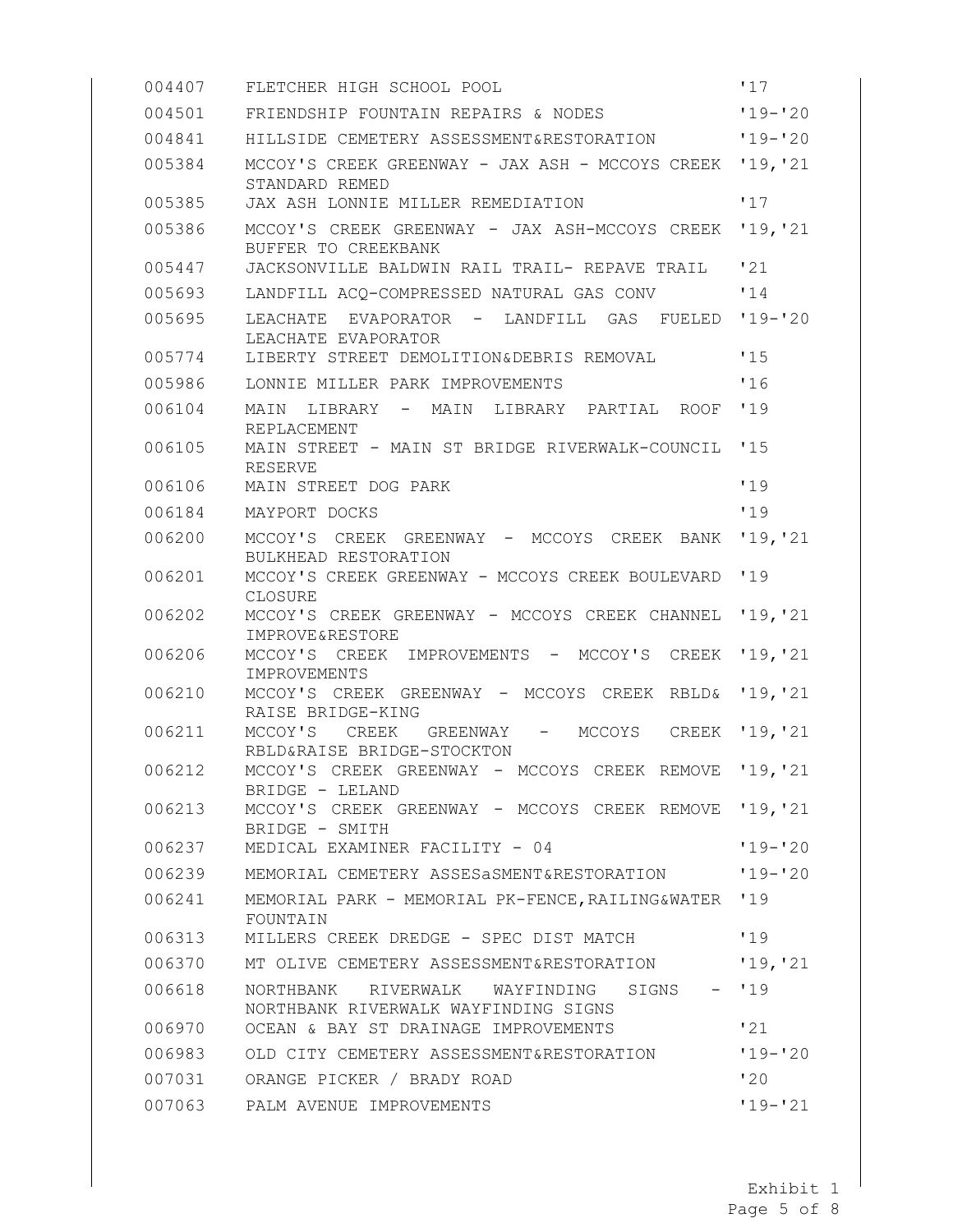| 004407 | FLETCHER HIGH SCHOOL POOL                                                            | '17         |
|--------|--------------------------------------------------------------------------------------|-------------|
| 004501 | FRIENDSHIP FOUNTAIN REPAIRS & NODES                                                  | $'19 - '20$ |
| 004841 | HILLSIDE CEMETERY ASSESSMENT&RESTORATION                                             | $119 - 20$  |
| 005384 | MCCOY'S CREEK GREENWAY - JAX ASH - MCCOYS CREEK<br>STANDARD REMED                    | '19, '21    |
| 005385 | JAX ASH LONNIE MILLER REMEDIATION                                                    | '17         |
| 005386 | MCCOY'S CREEK GREENWAY - JAX ASH-MCCOYS CREEK<br>BUFFER TO CREEKBANK                 | '19, '21    |
| 005447 | JACKSONVILLE BALDWIN RAIL TRAIL- REPAVE TRAIL                                        | '21         |
| 005693 | LANDFILL ACQ-COMPRESSED NATURAL GAS CONV                                             | '14         |
| 005695 | LEACHATE<br>EVAPORATOR<br>- LANDFILL<br>GAS<br>FUELED<br>LEACHATE EVAPORATOR         | $'19 - '20$ |
| 005774 | LIBERTY STREET DEMOLITION& DEBRIS REMOVAL                                            | '15         |
| 005986 | LONNIE MILLER PARK IMPROVEMENTS                                                      | '16         |
| 006104 | - MAIN<br>MAIN<br>LIBRARY<br>LIBRARY PARTIAL ROOF<br>REPLACEMENT                     | '19         |
| 006105 | MAIN STREET - MAIN ST BRIDGE RIVERWALK-COUNCIL<br>RESERVE                            | '15         |
| 006106 | MAIN STREET DOG PARK                                                                 | '19         |
| 006184 | MAYPORT DOCKS                                                                        | '19         |
| 006200 | MCCOY'S<br>CREEK<br>GREENWAY - MCCOYS<br>CREEK<br>BANK<br>BULKHEAD RESTORATION       | '19, '21    |
| 006201 | MCCOY'S CREEK GREENWAY - MCCOYS CREEK BOULEVARD<br>CLOSURE                           | '19         |
| 006202 | MCCOY'S CREEK GREENWAY - MCCOYS CREEK CHANNEL<br>IMPROVE&RESTORE                     | '19, '21    |
| 006206 | MCCOY'S CREEK<br>IMPROVEMENTS - MCCOY'S<br>CREEK<br>IMPROVEMENTS                     | '19, '21    |
| 006210 | MCCOY'S CREEK GREENWAY - MCCOYS CREEK<br><b>RBLD&amp;</b><br>RAISE BRIDGE-KING       | '19, '21    |
| 006211 | MCCOY'S<br>CREEK<br>GREENWAY<br>MCCOYS<br>CREEK<br>$-$<br>RBLD&RAISE BRIDGE-STOCKTON | '19, '21    |
| 006212 | MCCOY'S CREEK GREENWAY - MCCOYS CREEK REMOVE<br>BRIDGE - LELAND                      | '19, '21    |
| 006213 | MCCOY'S CREEK GREENWAY - MCCOYS CREEK REMOVE '19, '21<br>BRIDGE - SMITH              |             |
| 006237 | MEDICAL EXAMINER FACILITY - 04                                                       | $'19 - '20$ |
| 006239 | MEMORIAL CEMETERY ASSESASMENT&RESTORATION                                            | $19 - 20$   |
| 006241 | MEMORIAL PARK - MEMORIAL PK-FENCE, RAILING&WATER '19<br>FOUNTAIN                     |             |
| 006313 | MILLERS CREEK DREDGE - SPEC DIST MATCH                                               | '19         |
| 006370 | MT OLIVE CEMETERY ASSESSMENT&RESTORATION                                             | '19, '21    |
| 006618 | NORTHBANK RIVERWALK WAYFINDING SIGNS - '19<br>NORTHBANK RIVERWALK WAYFINDING SIGNS   |             |
| 006970 | OCEAN & BAY ST DRAINAGE IMPROVEMENTS                                                 | '21         |
| 006983 | OLD CITY CEMETERY ASSESSMENT&RESTORATION                                             | $'19 - '20$ |
| 007031 | ORANGE PICKER / BRADY ROAD                                                           | 120         |
| 007063 | PALM AVENUE IMPROVEMENTS                                                             | $'19 - '21$ |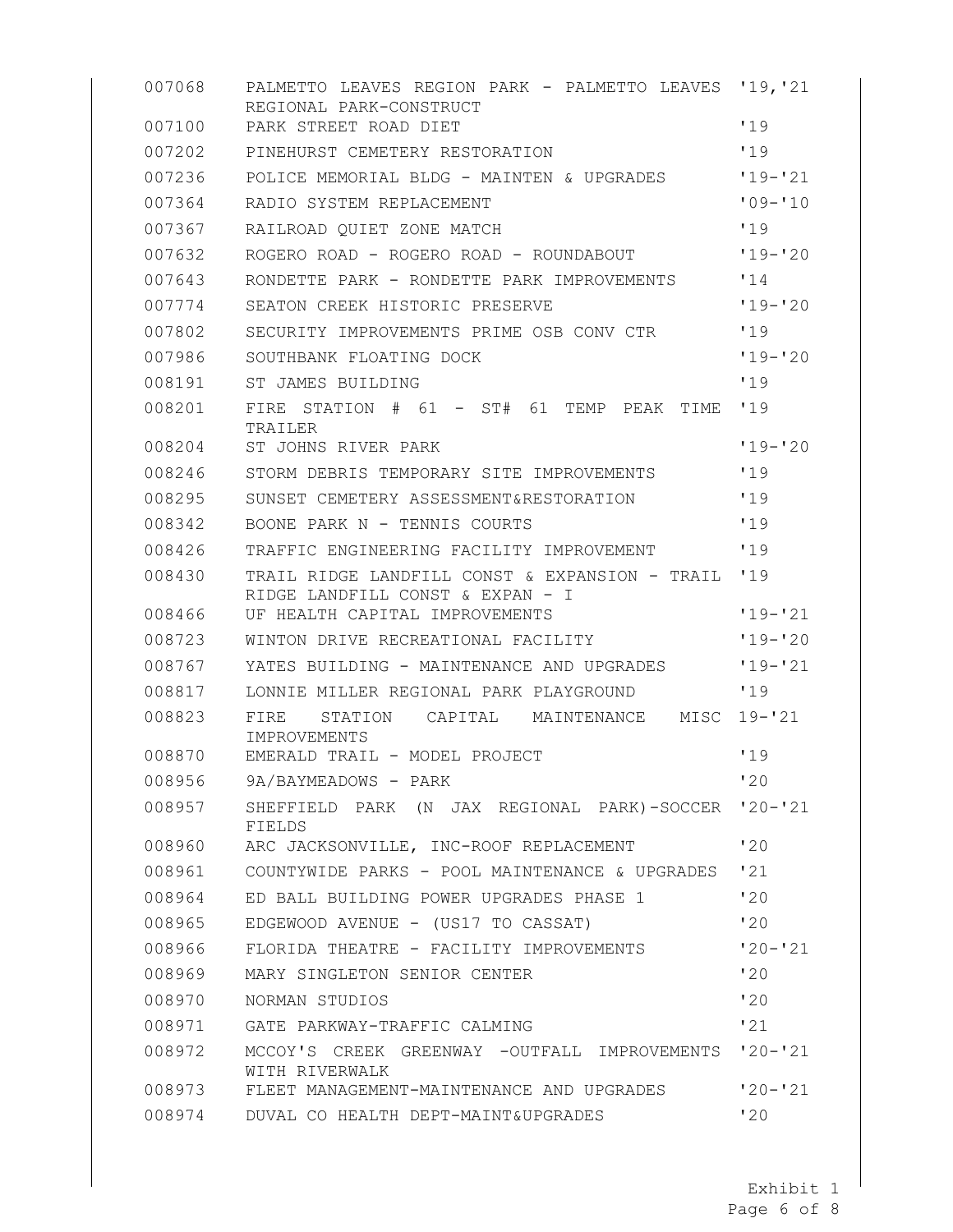| 007068 | PALMETTO LEAVES REGION PARK - PALMETTO LEAVES<br>REGIONAL PARK-CONSTRUCT           | '19, '21    |
|--------|------------------------------------------------------------------------------------|-------------|
| 007100 | PARK STREET ROAD DIET                                                              | '19         |
| 007202 | PINEHURST CEMETERY RESTORATION                                                     | '19         |
| 007236 | POLICE MEMORIAL BLDG - MAINTEN & UPGRADES                                          | $'19 - '21$ |
| 007364 | RADIO SYSTEM REPLACEMENT                                                           | $'09 - '10$ |
| 007367 | RAILROAD QUIET ZONE MATCH                                                          | '19         |
| 007632 | ROGERO ROAD - ROGERO ROAD - ROUNDABOUT                                             | $'19 - '20$ |
| 007643 | RONDETTE PARK - RONDETTE PARK IMPROVEMENTS                                         | '14         |
| 007774 | SEATON CREEK HISTORIC PRESERVE                                                     | $'19 - '20$ |
| 007802 | SECURITY IMPROVEMENTS PRIME OSB CONV CTR                                           | '19         |
| 007986 | SOUTHBANK FLOATING DOCK                                                            | $'19 - '20$ |
| 008191 | ST JAMES BUILDING                                                                  | '19         |
| 008201 | STATION<br># 61 - ST# 61<br>TEMP PEAK<br>FIRE<br>TIME<br>TRAILER                   | '19         |
| 008204 | ST JOHNS RIVER PARK                                                                | $'19 - '20$ |
| 008246 | STORM DEBRIS TEMPORARY SITE IMPROVEMENTS                                           | '19         |
| 008295 | SUNSET CEMETERY ASSESSMENT&RESTORATION                                             | '19         |
| 008342 | BOONE PARK N - TENNIS COURTS                                                       | '19         |
| 008426 | TRAFFIC ENGINEERING FACILITY IMPROVEMENT                                           | '19         |
| 008430 | TRAIL RIDGE LANDFILL CONST & EXPANSION - TRAIL<br>RIDGE LANDFILL CONST & EXPAN - I | '19         |
| 008466 | UF HEALTH CAPITAL IMPROVEMENTS                                                     | $19 - 21$   |
| 008723 | WINTON DRIVE RECREATIONAL FACILITY                                                 | $'19 - '20$ |
| 008767 | YATES BUILDING - MAINTENANCE AND UPGRADES                                          | $'19 - '21$ |
| 008817 | LONNIE MILLER REGIONAL PARK PLAYGROUND                                             | '19         |
| 008823 | FIRE<br>STATION<br>CAPITAL<br>MAINTENANCE<br>MISC<br>IMPROVEMENTS                  | $19 - 21$   |
| 008870 | EMERALD TRAIL - MODEL PROJECT                                                      | '19         |
| 008956 | 9A/BAYMEADOWS - PARK                                                               | 120         |
| 008957 | SHEFFIELD PARK (N JAX REGIONAL PARK)-SOCCER<br>FIELDS                              | $'20 - '21$ |
| 008960 | ARC JACKSONVILLE, INC-ROOF REPLACEMENT                                             | 120         |
| 008961 | COUNTYWIDE PARKS - POOL MAINTENANCE & UPGRADES                                     | '21         |
| 008964 | ED BALL BUILDING POWER UPGRADES PHASE 1                                            | 120         |
| 008965 | EDGEWOOD AVENUE - (US17 TO CASSAT)                                                 | '20         |
| 008966 | FLORIDA THEATRE - FACILITY IMPROVEMENTS                                            | $'20 - '21$ |
| 008969 | MARY SINGLETON SENIOR CENTER                                                       | 120         |
| 008970 | NORMAN STUDIOS                                                                     | 120         |
| 008971 | GATE PARKWAY-TRAFFIC CALMING                                                       | '21         |
| 008972 | MCCOY'S CREEK GREENWAY -OUTFALL IMPROVEMENTS<br>WITH RIVERWALK                     | $'20 - '21$ |
| 008973 | FLEET MANAGEMENT-MAINTENANCE AND UPGRADES                                          | $'20 - '21$ |
| 008974 | DUVAL CO HEALTH DEPT-MAINT&UPGRADES                                                | '20         |

Page 6 of 8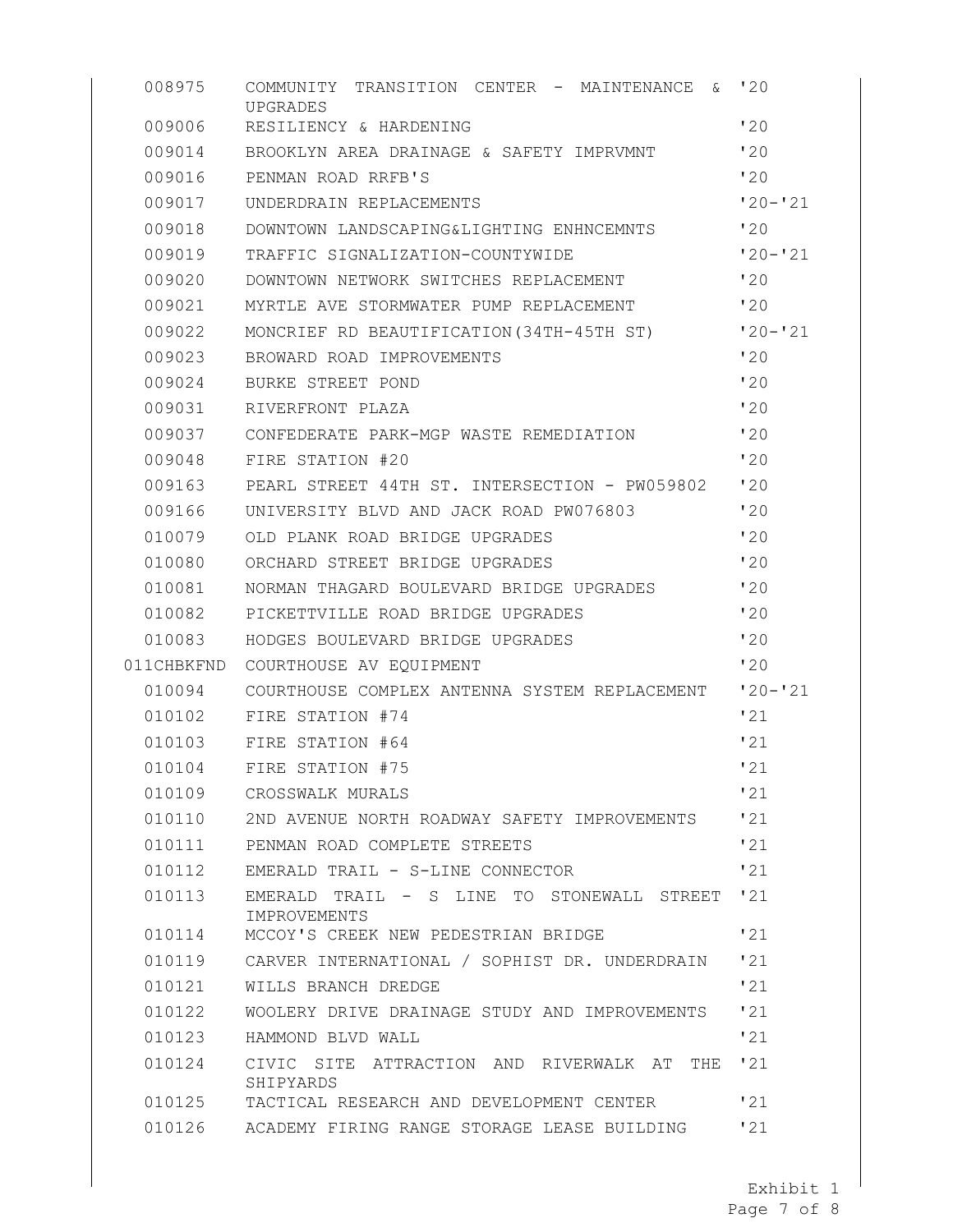| 008975     | COMMUNITY<br>TRANSITION CENTER - MAINTENANCE<br>&.<br>UPGRADES | '20         |
|------------|----------------------------------------------------------------|-------------|
| 009006     | RESILIENCY & HARDENING                                         | '20         |
| 009014     | BROOKLYN AREA DRAINAGE & SAFETY IMPRVMNT                       | '20         |
| 009016     | PENMAN ROAD RRFB'S                                             | '20         |
| 009017     | UNDERDRAIN REPLACEMENTS                                        | $'20 - '21$ |
| 009018     | DOWNTOWN LANDSCAPING&LIGHTING ENHNCEMNTS                       | '20         |
| 009019     | TRAFFIC SIGNALIZATION-COUNTYWIDE                               | $'20 - '21$ |
| 009020     | DOWNTOWN NETWORK SWITCHES REPLACEMENT                          | 120         |
| 009021     | MYRTLE AVE STORMWATER PUMP REPLACEMENT                         | '20         |
| 009022     | MONCRIEF RD BEAUTIFICATION (34TH-45TH ST)                      | $'20 - '21$ |
| 009023     | BROWARD ROAD IMPROVEMENTS                                      | 120         |
| 009024     | BURKE STREET POND                                              | '20         |
| 009031     | RIVERFRONT PLAZA                                               | '20         |
| 009037     | CONFEDERATE PARK-MGP WASTE REMEDIATION                         | '20         |
| 009048     | FIRE STATION #20                                               | '20         |
| 009163     | PEARL STREET 44TH ST. INTERSECTION - PW059802                  | '20         |
| 009166     | UNIVERSITY BLVD AND JACK ROAD PW076803                         | '20         |
| 010079     | OLD PLANK ROAD BRIDGE UPGRADES                                 | '20         |
| 010080     | ORCHARD STREET BRIDGE UPGRADES                                 | '20         |
| 010081     | NORMAN THAGARD BOULEVARD BRIDGE UPGRADES                       | '20         |
| 010082     | PICKETTVILLE ROAD BRIDGE UPGRADES                              | '20         |
| 010083     | HODGES BOULEVARD BRIDGE UPGRADES                               | '20         |
| 011CHBKFND | COURTHOUSE AV EQUIPMENT                                        | '20         |
| 010094     | COURTHOUSE COMPLEX ANTENNA SYSTEM REPLACEMENT                  | $'20 - '21$ |
| 010102     | FIRE STATION #74                                               | '21         |
| 010103     | FIRE STATION #64                                               | '21         |
| 010104     | FIRE STATION #75                                               | '21         |
| 010109     | CROSSWALK MURALS                                               | '21         |
| 010110     | 2ND AVENUE NORTH ROADWAY SAFETY IMPROVEMENTS                   | '21         |
| 010111     | PENMAN ROAD COMPLETE STREETS                                   | '21         |
| 010112     | EMERALD TRAIL - S-LINE CONNECTOR                               | '21         |
| 010113     | EMERALD TRAIL - S LINE TO STONEWALL STREET<br>IMPROVEMENTS     | '21         |
| 010114     | MCCOY'S CREEK NEW PEDESTRIAN BRIDGE                            | '21         |
| 010119     | CARVER INTERNATIONAL / SOPHIST DR. UNDERDRAIN                  | '21         |
| 010121     | WILLS BRANCH DREDGE                                            | '21         |
| 010122     | WOOLERY DRIVE DRAINAGE STUDY AND IMPROVEMENTS                  | '21         |
| 010123     | HAMMOND BLVD WALL                                              | '21         |
| 010124     | CIVIC SITE ATTRACTION AND RIVERWALK AT<br>THE<br>SHIPYARDS     | '21         |
| 010125     | TACTICAL RESEARCH AND DEVELOPMENT CENTER                       | '21         |
| 010126     | ACADEMY FIRING RANGE STORAGE LEASE BUILDING                    | '21         |